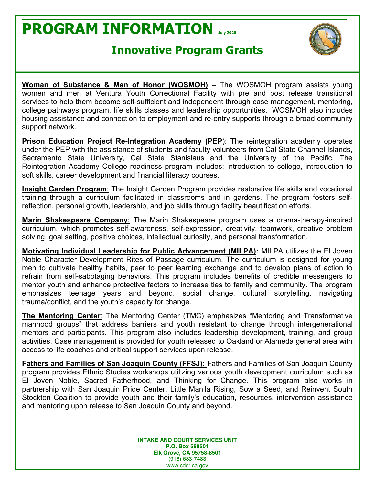## **PROGRAM INFORMATION July <sup>2020</sup>**





**Woman of Substance & Men of Honor (WOSMOH)** – The WOSMOH program assists young women and men at Ventura Youth Correctional Facility with pre and post release transitional services to help them become self-sufficient and independent through case management, mentoring, college pathways program, life skills classes and leadership opportunities. WOSMOH also includes housing assistance and connection to employment and re-entry supports through a broad community support network.

**Prison Education Project Re-Integration Academy (PEP):** The reintegration academy operates under the PEP with the assistance of students and faculty volunteers from Cal State Channel Islands, Sacramento State University, Cal State Stanislaus and the University of the Pacific. The Reintegration Academy College readiness program includes: introduction to college, introduction to soft skills, career development and financial literacy courses.

**Insight Garden Program**: The Insight Garden Program provides restorative life skills and vocational training through a curriculum facilitated in classrooms and in gardens. The program fosters selfreflection, personal growth, leadership, and job skills through facility beautification efforts.

**Marin Shakespeare Company**: The Marin Shakespeare program uses a drama-therapy-inspired curriculum, which promotes self-awareness, self-expression, creativity, teamwork, creative problem solving, goal setting, positive choices, intellectual curiosity, and personal transformation.

**Motivating Individual Leadership for Public Advancement (MILPA):** MILPA utilizes the El Joven Noble Character Development Rites of Passage curriculum. The curriculum is designed for young men to cultivate healthy habits, peer to peer learning exchange and to develop plans of action to refrain from self-sabotaging behaviors. This program includes benefits of credible messengers to mentor youth and enhance protective factors to increase ties to family and community. The program emphasizes teenage years and beyond, social change, cultural storytelling, navigating trauma/conflict, and the youth's capacity for change.

**The Mentoring Center**: The Mentoring Center (TMC) emphasizes "Mentoring and Transformative manhood groups" that address barriers and youth resistant to change through intergenerational mentors and participants. This program also includes leadership development, training, and group activities. Case management is provided for youth released to Oakland or Alameda general area with access to life coaches and critical support services upon release.

**Fathers and Families of San Joaquin County (FFSJ):** Fathers and Families of San Joaquin County program provides Ethnic Studies workshops utilizing various youth development curriculum such as El Joven Noble, Sacred Fatherhood, and Thinking for Change. This program also works in partnership with San Joaquin Pride Center, Little Manila Rising, Sow a Seed, and Reinvent South Stockton Coalition to provide youth and their family's education, resources, intervention assistance and mentoring upon release to San Joaquin County and beyond.

> **INTAKE AND COURT SERVICES UNIT P.O. Box 588501 Elk Grove, CA 95758-8501** (916) 683-7483 www.cdcr.ca.gov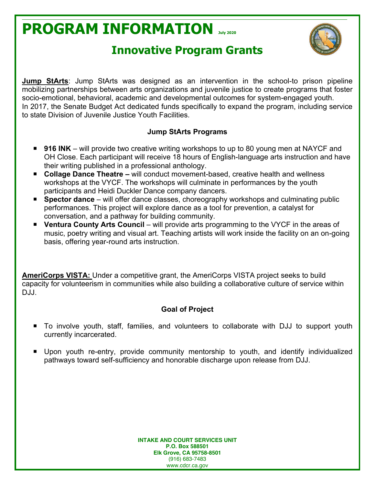# **PROGRAM INFORMATION July <sup>2020</sup>**



### **Innovative Program Grants**

**Jump StArts**: Jump StArts was designed as an intervention in the school-to prison pipeline mobilizing partnerships between arts organizations and juvenile justice to create programs that foster socio-emotional, behavioral, academic and developmental outcomes for system-engaged youth. In 2017, the Senate Budget Act dedicated funds specifically to expand the program, including service to state Division of Juvenile Justice Youth Facilities.

#### **Jump StArts Programs**

- 916 INK will provide two creative writing workshops to up to 80 young men at NAYCF and OH Close. Each participant will receive 18 hours of English-language arts instruction and have their writing published in a professional anthology.
- Collage Dance Theatre will conduct movement-based, creative health and wellness workshops at the VYCF. The workshops will culminate in performances by the youth participants and Heidi Duckler Dance company dancers.
- **Spector dance** will offer dance classes, choreography workshops and culminating public performances. This project will explore dance as a tool for prevention, a catalyst for conversation, and a pathway for building community.
- **Ventura County Arts Council** will provide arts programming to the VYCF in the areas of music, poetry writing and visual art. Teaching artists will work inside the facility on an on-going basis, offering year-round arts instruction.

**AmeriCorps VISTA:** Under a competitive grant, the AmeriCorps VISTA project seeks to build capacity for volunteerism in communities while also building a collaborative culture of service within DJJ.

### **Goal of Project**

- To involve youth, staff, families, and volunteers to collaborate with DJJ to support youth currently incarcerated.
- Upon youth re-entry, provide community mentorship to youth, and identify individualized pathways toward self-sufficiency and honorable discharge upon release from DJJ.

**INTAKE AND COURT SERVICES UNIT P.O. Box 588501 Elk Grove, CA 95758-8501** (916) 683-7483 www.cdcr.ca.gov